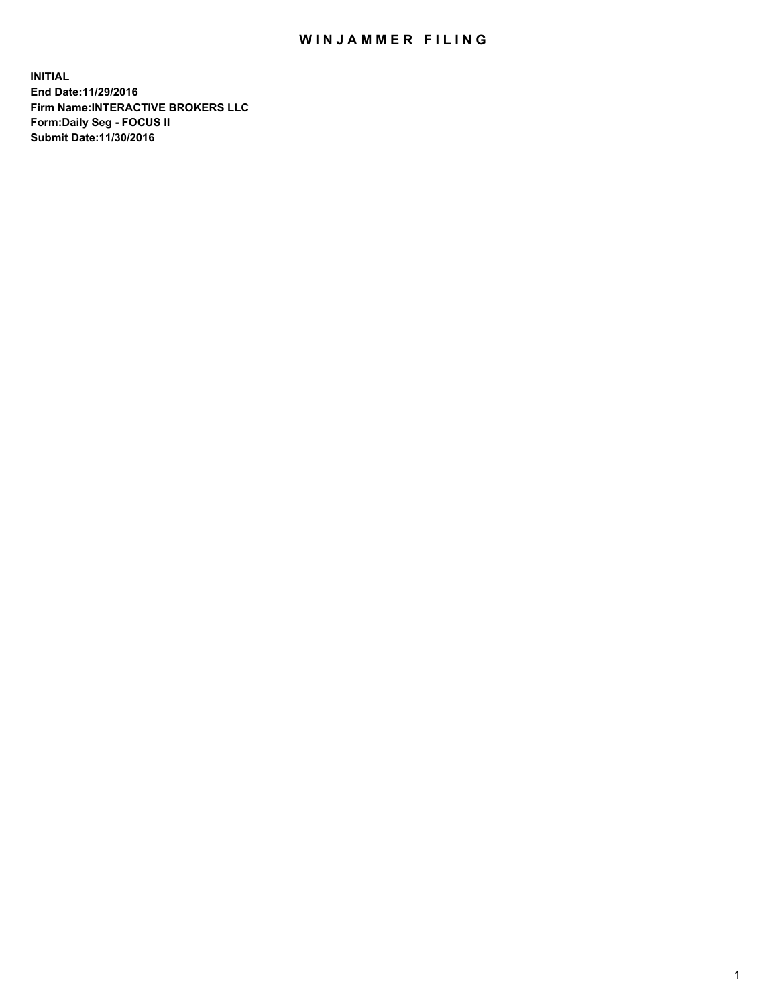## WIN JAMMER FILING

**INITIAL End Date:11/29/2016 Firm Name:INTERACTIVE BROKERS LLC Form:Daily Seg - FOCUS II Submit Date:11/30/2016**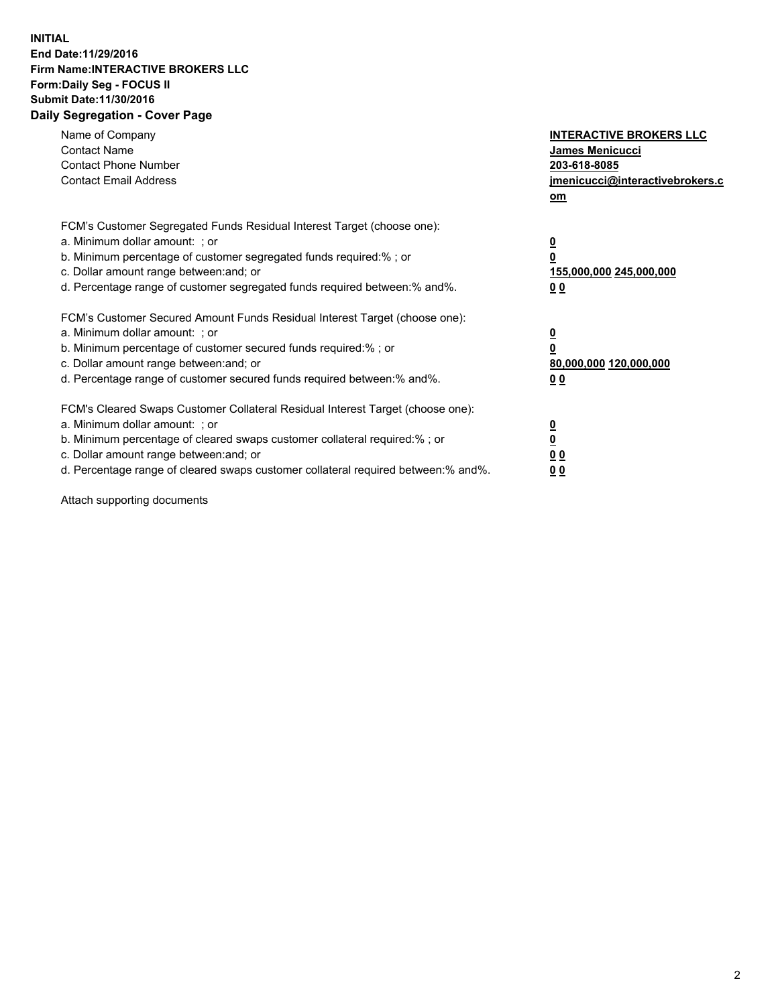## **INITIAL End Date:11/29/2016 Firm Name:INTERACTIVE BROKERS LLC Form:Daily Seg - FOCUS II Submit Date:11/30/2016 Daily Segregation - Cover Page**

| Name of Company<br><b>Contact Name</b><br><b>Contact Phone Number</b><br><b>Contact Email Address</b>                                                                                                                                                                                                                          | <b>INTERACTIVE BROKERS LLC</b><br>James Menicucci<br>203-618-8085<br><u>jmenicucci@interactivebrokers.c</u><br>om |
|--------------------------------------------------------------------------------------------------------------------------------------------------------------------------------------------------------------------------------------------------------------------------------------------------------------------------------|-------------------------------------------------------------------------------------------------------------------|
| FCM's Customer Segregated Funds Residual Interest Target (choose one):<br>a. Minimum dollar amount: ; or<br>b. Minimum percentage of customer segregated funds required:%; or<br>c. Dollar amount range between: and; or<br>d. Percentage range of customer segregated funds required between:% and%.                          | $\overline{\mathbf{0}}$<br>0<br>155,000,000 245,000,000<br>0 <sub>0</sub>                                         |
| FCM's Customer Secured Amount Funds Residual Interest Target (choose one):<br>a. Minimum dollar amount: ; or<br>b. Minimum percentage of customer secured funds required:%; or<br>c. Dollar amount range between: and; or<br>d. Percentage range of customer secured funds required between:% and%.                            | $\overline{\mathbf{0}}$<br>$\overline{\mathbf{0}}$<br>80,000,000 120,000,000<br>00                                |
| FCM's Cleared Swaps Customer Collateral Residual Interest Target (choose one):<br>a. Minimum dollar amount: ; or<br>b. Minimum percentage of cleared swaps customer collateral required:% ; or<br>c. Dollar amount range between: and; or<br>d. Percentage range of cleared swaps customer collateral required between:% and%. | $\overline{\mathbf{0}}$<br>$\overline{\mathbf{0}}$<br>0 <sub>0</sub><br><u>00</u>                                 |

Attach supporting documents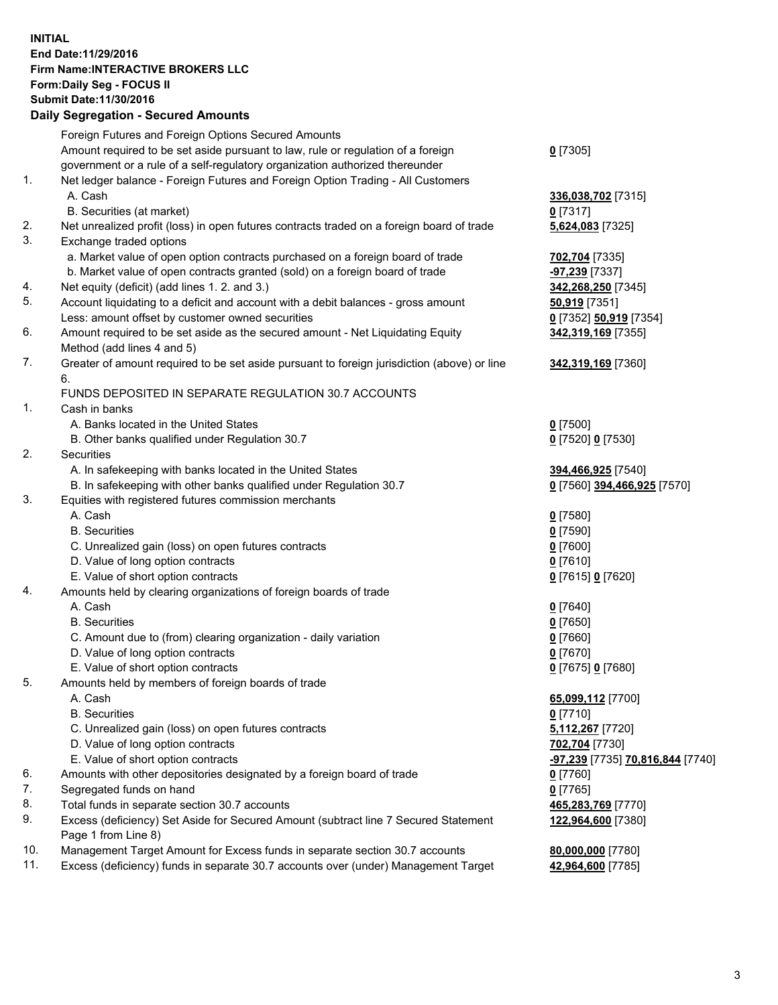## **INITIAL End Date:11/29/2016 Firm Name:INTERACTIVE BROKERS LLC Form:Daily Seg - FOCUS II Submit Date:11/30/2016 Daily Segregation - Secured Amounts**

|     | Daily Jegregation - Jeculed Aniounts                                                                       |                                  |
|-----|------------------------------------------------------------------------------------------------------------|----------------------------------|
|     | Foreign Futures and Foreign Options Secured Amounts                                                        |                                  |
|     | Amount required to be set aside pursuant to law, rule or regulation of a foreign                           | $0$ [7305]                       |
|     | government or a rule of a self-regulatory organization authorized thereunder                               |                                  |
| 1.  | Net ledger balance - Foreign Futures and Foreign Option Trading - All Customers                            |                                  |
|     | A. Cash                                                                                                    | 336,038,702 [7315]               |
|     | B. Securities (at market)                                                                                  | 0 [7317]                         |
| 2.  | Net unrealized profit (loss) in open futures contracts traded on a foreign board of trade                  | 5,624,083 [7325]                 |
| 3.  | Exchange traded options                                                                                    |                                  |
|     | a. Market value of open option contracts purchased on a foreign board of trade                             | 702,704 [7335]                   |
|     | b. Market value of open contracts granted (sold) on a foreign board of trade                               | <b>-97,239</b> [7337]            |
| 4.  | Net equity (deficit) (add lines 1. 2. and 3.)                                                              | 342,268,250 [7345]               |
| 5.  | Account liquidating to a deficit and account with a debit balances - gross amount                          | 50,919 [7351]                    |
|     | Less: amount offset by customer owned securities                                                           | 0 [7352] 50,919 [7354]           |
| 6.  | Amount required to be set aside as the secured amount - Net Liquidating Equity                             | 342,319,169 [7355]               |
|     | Method (add lines 4 and 5)                                                                                 |                                  |
| 7.  | Greater of amount required to be set aside pursuant to foreign jurisdiction (above) or line                | 342,319,169 [7360]               |
|     | 6.                                                                                                         |                                  |
|     | FUNDS DEPOSITED IN SEPARATE REGULATION 30.7 ACCOUNTS                                                       |                                  |
| 1.  | Cash in banks                                                                                              |                                  |
|     | A. Banks located in the United States                                                                      | $0$ [7500]                       |
|     | B. Other banks qualified under Regulation 30.7                                                             | 0 [7520] 0 [7530]                |
| 2.  | Securities                                                                                                 |                                  |
|     | A. In safekeeping with banks located in the United States                                                  | 394,466,925 [7540]               |
|     | B. In safekeeping with other banks qualified under Regulation 30.7                                         | 0 [7560] 394,466,925 [7570]      |
| 3.  | Equities with registered futures commission merchants                                                      |                                  |
|     | A. Cash                                                                                                    | $0$ [7580]                       |
|     | <b>B.</b> Securities                                                                                       | $0$ [7590]                       |
|     |                                                                                                            |                                  |
|     | C. Unrealized gain (loss) on open futures contracts<br>D. Value of long option contracts                   | $0$ [7600]                       |
|     |                                                                                                            | $0$ [7610]                       |
| 4.  | E. Value of short option contracts                                                                         | 0 [7615] 0 [7620]                |
|     | Amounts held by clearing organizations of foreign boards of trade                                          |                                  |
|     | A. Cash                                                                                                    | $0$ [7640]                       |
|     | <b>B.</b> Securities                                                                                       | $0$ [7650]                       |
|     | C. Amount due to (from) clearing organization - daily variation                                            | $0$ [7660]                       |
|     | D. Value of long option contracts                                                                          | $0$ [7670]                       |
|     | E. Value of short option contracts                                                                         | 0 [7675] 0 [7680]                |
| 5.  | Amounts held by members of foreign boards of trade                                                         |                                  |
|     | A. Cash                                                                                                    | 65,099,112 [7700]                |
|     | <b>B.</b> Securities                                                                                       | $0$ [7710]                       |
|     | C. Unrealized gain (loss) on open futures contracts                                                        | 5,112,267 [7720]                 |
|     | D. Value of long option contracts                                                                          | 702,704 [7730]                   |
|     | E. Value of short option contracts                                                                         | -97,239 [7735] 70,816,844 [7740] |
| 6.  | Amounts with other depositories designated by a foreign board of trade                                     | 0 [7760]                         |
| 7.  | Segregated funds on hand                                                                                   | $0$ [7765]                       |
| 8.  | Total funds in separate section 30.7 accounts                                                              | 465,283,769 [7770]               |
| 9.  | Excess (deficiency) Set Aside for Secured Amount (subtract line 7 Secured Statement<br>Page 1 from Line 8) | 122,964,600 [7380]               |
| 10. | Management Target Amount for Excess funds in separate section 30.7 accounts                                | 80,000,000 [7780]                |
| 11. | Excess (deficiency) funds in separate 30.7 accounts over (under) Management Target                         | 42,964,600 [7785]                |
|     |                                                                                                            |                                  |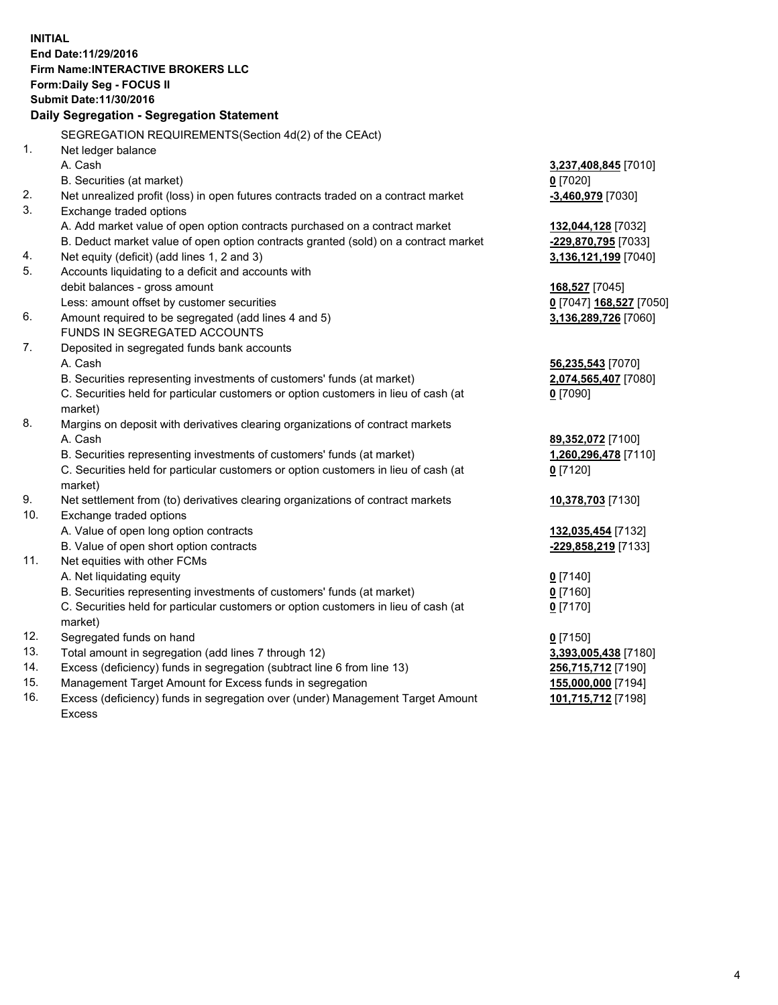**INITIAL End Date:11/29/2016 Firm Name:INTERACTIVE BROKERS LLC Form:Daily Seg - FOCUS II Submit Date:11/30/2016 Daily Segregation - Segregation Statement** SEGREGATION REQUIREMENTS(Section 4d(2) of the CEAct) 1. Net ledger balance A. Cash **3,237,408,845** [7010] B. Securities (at market) **0** [7020] 2. Net unrealized profit (loss) in open futures contracts traded on a contract market **-3,460,979** [7030] 3. Exchange traded options A. Add market value of open option contracts purchased on a contract market **132,044,128** [7032] B. Deduct market value of open option contracts granted (sold) on a contract market **-229,870,795** [7033] 4. Net equity (deficit) (add lines 1, 2 and 3) **3,136,121,199** [7040] 5. Accounts liquidating to a deficit and accounts with debit balances - gross amount **168,527** [7045] Less: amount offset by customer securities **0** [7047] **168,527** [7050] 6. Amount required to be segregated (add lines 4 and 5) **3,136,289,726** [7060] FUNDS IN SEGREGATED ACCOUNTS 7. Deposited in segregated funds bank accounts A. Cash **56,235,543** [7070] B. Securities representing investments of customers' funds (at market) **2,074,565,407** [7080] C. Securities held for particular customers or option customers in lieu of cash (at market) **0** [7090] 8. Margins on deposit with derivatives clearing organizations of contract markets A. Cash **89,352,072** [7100] B. Securities representing investments of customers' funds (at market) **1,260,296,478** [7110] C. Securities held for particular customers or option customers in lieu of cash (at market) **0** [7120] 9. Net settlement from (to) derivatives clearing organizations of contract markets **10,378,703** [7130] 10. Exchange traded options A. Value of open long option contracts **132,035,454** [7132] B. Value of open short option contracts **-229,858,219** [7133] 11. Net equities with other FCMs A. Net liquidating equity **0** [7140] B. Securities representing investments of customers' funds (at market) **0** [7160] C. Securities held for particular customers or option customers in lieu of cash (at market) **0** [7170] 12. Segregated funds on hand **0** [7150] 13. Total amount in segregation (add lines 7 through 12) **3,393,005,438** [7180] 14. Excess (deficiency) funds in segregation (subtract line 6 from line 13) **256,715,712** [7190] 15. Management Target Amount for Excess funds in segregation **155,000,000** [7194] 16. Excess (deficiency) funds in segregation over (under) Management Target Amount **101,715,712** [7198]

Excess